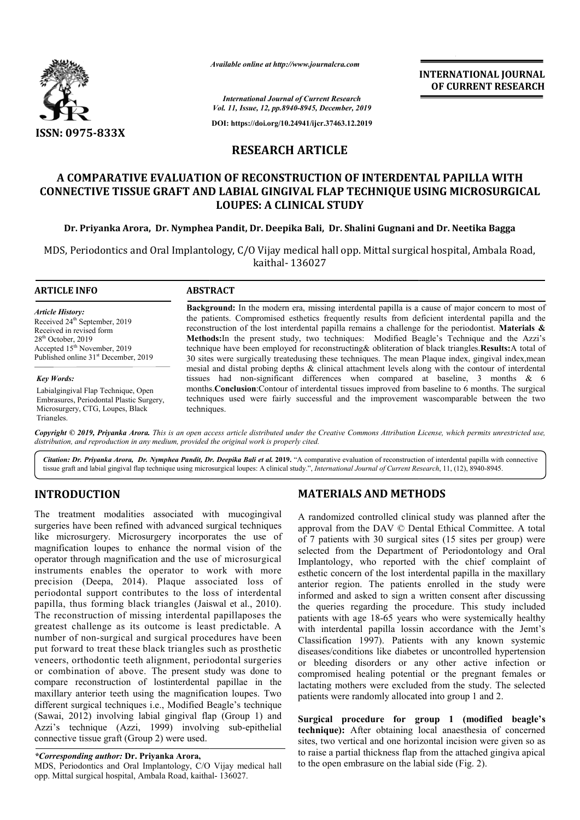

*Available online at http://www.journalcra.com*

**INTERNATIONAL JOURNAL OF CURRENT RESEARCH**

*International Journal of Current Research Vol. 11, Issue, 12, pp.8940-8945, December, 2019*

**DOI: https://doi.org/10.24941/ijcr.37463.12.2019**

# **RESEARCH ARTICLE**

# **A COMPARATIVE EVALUATION OF RECONSTRUCTION OF INTERDENTAL PAPILLA WITH CONNECTIVE TISSUE GRAFT AND LABIAL GINGIVAL FLAP TECHNIQUE USING MICROSU OF INTERDENTAL PAPILLA WITH USING MICROSURGICAL LOUPES: A CLINICAL STUDY**

Dr. Priyanka Arora, Dr. Nymphea Pandit, Dr. Deepika Bali, Dr. Shalini Gugnani and Dr. Neetika Bagga

MDS, Periodontics and Oral Implantology, C/O Vijay medical hall opp. Mittal surgical hospital, Ambala Road, kaithal- 136027

#### **ARTICLE INFO ABSTRACT**

*Article History:* Received 24<sup>th</sup> September, 2019 Received in revised form 28th October, 2019 Accepted 15<sup>th</sup> November, 2019 Published online 31<sup>st</sup> December, 2019

#### *Key Words:*

Labialgingival Flap Technique, Open Embrasures, Periodontal Plastic Surgery, Microsurgery, CTG, Loupes, Black Triangles.

**Background:** In the modern era, missing interdental papilla is a cause of major concern to most of Background: In the modern era, missing interdental papilla is a cause of major concern to most of the patients. Compromised esthetics frequently results from deficient interdental papilla and the reconstruction of the lost interdental papilla remains a challenge for the periodontist. Materials & **Methods:** In the present study, two techniques: Modified Beagle's Technique and the Azzi's **Methods:** In the present study, two techniques: Modified Beagle's Technique and the Azzi's technique have been employed for reconstructing & obliteration of black triangles. **Results:** A total of 30 sites were surgically treatedusing these techniques. The mean Plaque index, gingival index,mean mesial and distal probing depths & clinical attachment levels along with the contour of interdental tissues had non-significant differences when compared at baseline, 3 months & 6 months. **Conclusion**:Contour of interdental tissues improved from baseline to 6 months. The surgical techniques used were fairly successful and the improvement wascomparable between the two techniques techniques. 30 sites were surgically treatedusing these techniques. The mean Plaque index, gingival index, mean mesial and distal probing depths & clinical attachment levels along with the contour of interdental tissues had non-signif

Copyright © 2019, Priyanka Arora. This is an open access article distributed under the Creative Commons Attribution License, which permits unrestricted use, *distribution, and reproduction in any medium, provided the original work is properly cited.*

Citation: Dr. Priyanka Arora, Dr. Nymphea Pandit, Dr. Deepika Bali et al. 2019. "A comparative evaluation of reconstruction of interdental papilla with connective tissue graft and labial gingival flap technique using microsurgical loupes: A clinical study.", *International Journal of Current Research*, 11, (12), 8940-8945.

## **INTRODUCTION**

The treatment modalities associated with mucogingival surgeries have been refined with advanced surgical techniques like microsurgery. Microsurgery incorporates the use of magnification loupes to enhance the normal vision of the operator through magnification and the use of microsurgical instruments enables the operator to work with more precision (Deepa, 2014). Plaque associated loss of periodontal support contributes to the loss of interdental papilla, thus forming black triangles (Jaiswal et al., 2010). The reconstruction of missing interdental papillaposes the greatest challenge as its outcome is least predictable. A number of non-surgical and surgical procedures have been put forward to treat these black triangles such as prosthetic veneers, orthodontic teeth alignment, periodontal surgeries number of non-surgical and surgical procedures have been<br>put forward to treat these black triangles such as prosthetic<br>veneers, orthodontic teeth alignment, periodontal surgeries<br>or combination of above. The present study compare reconstruction of lostinterdental papillae in the maxillary anterior teeth using the magnification loupes. Two different surgical techniques i.e., Modified Beagle's technique (Sawai, 2012) involving labial gingival flap (Group 1) and Azzi's technique (Azzi, 1999) involving sub-epithelial connective tissue graft (Group 2) were used.

## *\*Corresponding author:* **Dr. Priyanka Arora,**

MDS, Periodontics and Oral Implantology, C/O Vijay medical hall opp. Mittal surgical hospital, Ambala Road, kaithal- 136027.

## **MATERIALS AND METHODS METHODS**

A randomized controlled clinical study was planned after the approval from the DAV © Dental Ethical Committee. A total A randomized controlled clinical study was planned after the approval from the DAV © Dental Ethical Committee. A total of 7 patients with 30 surgical sites (15 sites per group) were selected from the Department of Periodontology and Oral Implantology, who reported with the chief complaint of Implantology, who reported with the chief complaint of esthetic concern of the lost interdental papilla in the maxillary anterior region. The patients enrolled in the study were informed and asked to sign a written consent after discussing the queries regarding the procedure. This study included patients with age 18-65 years who were systemically healthy with interdental papilla lossin accordance with the Jemt's anterior region. The patients enrolled in the study were<br>informed and asked to sign a written consent after discussing<br>the queries regarding the procedure. This study included<br>patients with age 18-65 years who were systemi diseases/conditions like diabetes or uncontrolled hypertension or bleeding disorders or any other active infection or compromised healing potential or the pregnant females or diseases/conditions like diabetes or uncontrolled hypertension<br>or bleeding disorders or any other active infection or<br>compromised healing potential or the pregnant females or<br>lactating mothers were excluded from the study. patients were randomly allocated into group 1 and 2.

**Surgical procedure for group 1 (modified beagle's technique):** After obtaining local anaesthesia of concerned sites, two vertical and one horizontal incision were given so as to raise a partial thickness flap from the attached gingiva apical to the open embrasure on the labial side (Fig. 2). patients were randomly allocated into group 1 and 2<br>**Surgical procedure for group 1 (modified technique):** After obtaining local anaesthesia of sites, two vertical and one horizontal incision were to raise a partial thickn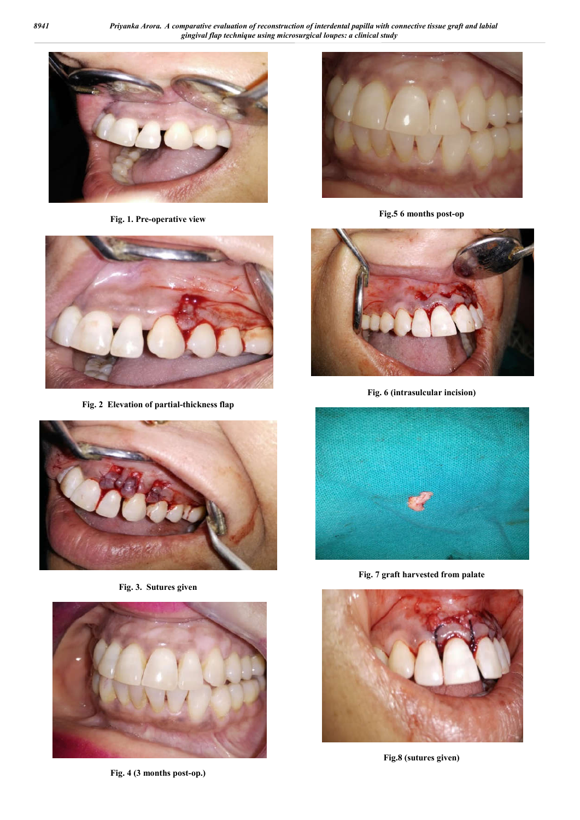*8941 Priyanka Arora. A comparative evaluation of reconstruction of interdental papilla with connective tissue graft and labial gingival flap technique using microsurgical loupes: a clinical study*



**Fig. 1. Pre-operative view**



**Fig.5 6 months post-op**



**Fig. 2 Elevation of partial-thickness flap**



**Fig. 3. Sutures given**



**Fig. 4 (3 months post-op.)**



**Fig. 6 (intrasulcular incision)**



**Fig. 7 graft harvested from palate**



**Fig.8 (sutures given)**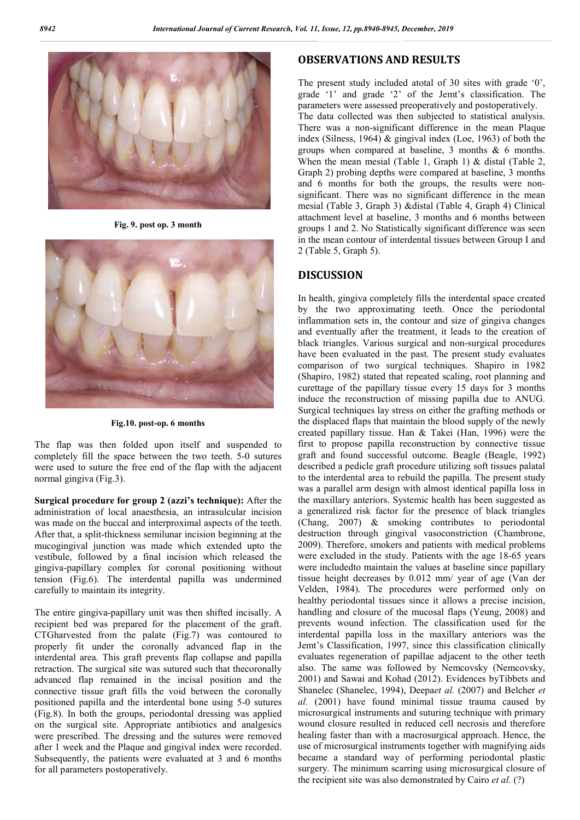

**Fig. 9. post op. 3 month**



**Fig.10. post-op. 6 months**

The flap was then folded upon itself and suspended to completely fill the space between the two teeth. 5-0 sutures were used to suture the free end of the flap with the adjacent normal gingiva (Fig.3).

**Surgical procedure for group 2 (azzi's technique):** After the administration of local anaesthesia, an intrasulcular incision was made on the buccal and interproximal aspects of the teeth. After that, a split-thickness semilunar incision beginning at the mucogingival junction was made which extended upto the vestibule, followed by a final incision which released the gingiva-papillary complex for coronal positioning without tension (Fig.6). The interdental papilla was undermined carefully to maintain its integrity.

The entire gingiva-papillary unit was then shifted incisally. A recipient bed was prepared for the placement of the graft. CTGharvested from the palate (Fig.7) was contoured to properly fit under the coronally advanced flap in the interdental area. This graft prevents flap collapse and papilla retraction. The surgical site was sutured such that thecoronally advanced flap remained in the incisal position and the connective tissue graft fills the void between the coronally positioned papilla and the interdental bone using 5-0 sutures (Fig.8). In both the groups, periodontal dressing was applied on the surgical site. Appropriate antibiotics and analgesics were prescribed. The dressing and the sutures were removed after 1 week and the Plaque and gingival index were recorded. Subsequently, the patients were evaluated at 3 and 6 months for all parameters postoperatively.

# **OBSERVATIONS AND RESULTS**

The present study included atotal of 30 sites with grade '0', grade '1' and grade '2' of the Jemt's classification. The parameters were assessed preoperatively and postoperatively.

The data collected was then subjected to statistical analysis. There was a non-significant difference in the mean Plaque index (Silness, 1964) & gingival index (Loe, 1963) of both the groups when compared at baseline, 3 months & 6 months. When the mean mesial (Table 1, Graph 1) & distal (Table 2, Graph 2) probing depths were compared at baseline, 3 months and 6 months for both the groups, the results were nonsignificant. There was no significant difference in the mean mesial (Table 3, Graph 3) &distal (Table 4, Graph 4) Clinical attachment level at baseline, 3 months and 6 months between groups 1 and 2. No Statistically significant difference was seen in the mean contour of interdental tissues between Group I and 2 (Table 5, Graph 5).

### **DISCUSSION**

In health, gingiva completely fills the interdental space created by the two approximating teeth. Once the periodontal inflammation sets in, the contour and size of gingiva changes and eventually after the treatment, it leads to the creation of black triangles. Various surgical and non-surgical procedures have been evaluated in the past. The present study evaluates comparison of two surgical techniques. Shapiro in 1982 (Shapiro, 1982) stated that repeated scaling, root planning and curettage of the papillary tissue every 15 days for 3 months induce the reconstruction of missing papilla due to ANUG. Surgical techniques lay stress on either the grafting methods or the displaced flaps that maintain the blood supply of the newly created papillary tissue. Han & Takei (Han, 1996) were the first to propose papilla reconstruction by connective tissue graft and found successful outcome. Beagle (Beagle, 1992) described a pedicle graft procedure utilizing soft tissues palatal to the interdental area to rebuild the papilla. The present study was a parallel arm design with almost identical papilla loss in the maxillary anteriors. Systemic health has been suggested as a generalized risk factor for the presence of black triangles (Chang, 2007) & smoking contributes to periodontal destruction through gingival vasoconstriction (Chambrone, 2009). Therefore, smokers and patients with medical problems were excluded in the study. Patients with the age 18-65 years were includedto maintain the values at baseline since papillary tissue height decreases by 0.012 mm/ year of age (Van der Velden, 1984). The procedures were performed only on healthy periodontal tissues since it allows a precise incision, handling and closure of the mucosal flaps (Yeung, 2008) and prevents wound infection. The classification used for the interdental papilla loss in the maxillary anteriors was the Jemt's Classification, 1997, since this classification clinically evaluates regeneration of papillae adjacent to the other teeth also. The same was followed by Nemcovsky (Nemcovsky, 2001) and Sawai and Kohad (2012). Evidences byTibbets and Shanelec (Shanelec, 1994), Deepa*et al.* (2007) and Belcher *et al.* (2001) have found minimal tissue trauma caused by microsurgical instruments and suturing technique with primary wound closure resulted in reduced cell necrosis and therefore healing faster than with a macrosurgical approach. Hence, the use of microsurgical instruments together with magnifying aids became a standard way of performing periodontal plastic surgery. The minimum scarring using microsurgical closure of the recipient site was also demonstrated by Cairo *et al.* (?)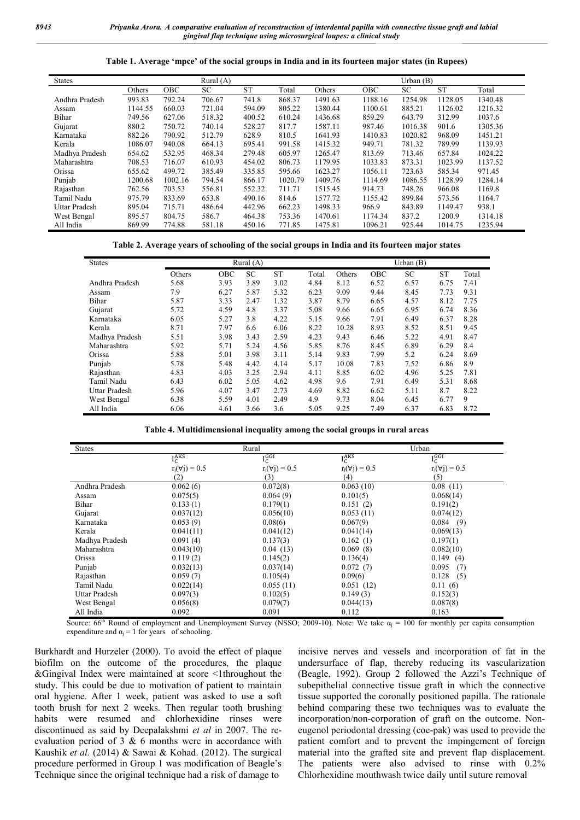| Table 1. Average 'mpce' of the social groups in India and in its fourteen major states (in Rupees) |  |  |  |  |
|----------------------------------------------------------------------------------------------------|--|--|--|--|
|                                                                                                    |  |  |  |  |

| <b>States</b>        |         |         | Rural $(A)$ |           |         |         |         | Urban $(B)$ |           |         |
|----------------------|---------|---------|-------------|-----------|---------|---------|---------|-------------|-----------|---------|
|                      | Others  | OBC     | <b>SC</b>   | <b>ST</b> | Total   | Others  | OBC     | SС          | <b>ST</b> | Total   |
| Andhra Pradesh       | 993.83  | 792.24  | 706.67      | 741.8     | 868.37  | 1491.63 | 1188.16 | 1254.98     | 1128.05   | 1340.48 |
| Assam                | 1144.55 | 660.03  | 721.04      | 594.09    | 805.22  | 1380.44 | 1100.61 | 885.21      | 1126.02   | 1216.32 |
| Bihar                | 749.56  | 627.06  | 518.32      | 400.52    | 610.24  | 1436.68 | 859.29  | 643.79      | 312.99    | 1037.6  |
| Gujarat              | 880.2   | 750.72  | 740.14      | 528.27    | 817.7   | 1587.11 | 987.46  | 1016.38     | 901.6     | 1305.36 |
| Karnataka            | 882.26  | 790.92  | 512.79      | 628.9     | 810.5   | 1641.93 | 1410.83 | 1020.82     | 968.09    | 1451.21 |
| Kerala               | 1086.07 | 940.08  | 664.13      | 695.41    | 991.58  | 1415.32 | 949.71  | 781.32      | 789.99    | 1139.93 |
| Madhya Pradesh       | 654.62  | 532.95  | 468.34      | 279.48    | 605.97  | 1265.47 | 813.69  | 713.46      | 657.84    | 1024.22 |
| Maharashtra          | 708.53  | 716.07  | 610.93      | 454.02    | 806.73  | 1179.95 | 1033.83 | 873.31      | 1023.99   | 1137.52 |
| Orissa               | 655.62  | 499.72  | 385.49      | 335.85    | 595.66  | 1623.27 | 1056.11 | 723.63      | 585.34    | 971.45  |
| Punjab               | 1200.68 | 1002.16 | 794.54      | 866.17    | 1020.79 | 1409.76 | 1114.69 | 1086.55     | 1128.99   | 1284.14 |
| Rajasthan            | 762.56  | 703.53  | 556.81      | 552.32    | 711.71  | 1515.45 | 914.73  | 748.26      | 966.08    | 1169.8  |
| Tamil Nadu           | 975.79  | 833.69  | 653.8       | 490.16    | 814.6   | 1577.72 | 1155.42 | 899.84      | 573.56    | 1164.7  |
| <b>Uttar Pradesh</b> | 895.04  | 715.71  | 486.64      | 442.96    | 662.23  | 1498.33 | 966.9   | 843.89      | 1149.47   | 938.1   |
| West Bengal          | 895.57  | 804.75  | 586.7       | 464.38    | 753.36  | 1470.61 | 1174.34 | 837.2       | 1200.9    | 1314.18 |
| All India            | 869.99  | 774.88  | 581.18      | 450.16    | 771.85  | 1475.81 | 1096.21 | 925.44      | 1014.75   | 1235.94 |

#### **Table 2. Average years of schooling of the social groups in India and its fourteen major states**

| <b>States</b>        |        | Urban $(B)$ |      |           |       |        |      |           |           |       |
|----------------------|--------|-------------|------|-----------|-------|--------|------|-----------|-----------|-------|
|                      | Others | <b>OBC</b>  | SC   | <b>ST</b> | Total | Others | OBC  | <b>SC</b> | <b>ST</b> | Total |
| Andhra Pradesh       | 5.68   | 3.93        | 3.89 | 3.02      | 4.84  | 8.12   | 6.52 | 6.57      | 6.75      | 7.41  |
| Assam                | 7.9    | 6.27        | 5.87 | 5.32      | 6.23  | 9.09   | 9.44 | 8.45      | 7.73      | 9.31  |
| Bihar                | 5.87   | 3.33        | 2.47 | 1.32      | 3.87  | 8.79   | 6.65 | 4.57      | 8.12      | 7.75  |
| Gujarat              | 5.72   | 4.59        | 4.8  | 3.37      | 5.08  | 9.66   | 6.65 | 6.95      | 6.74      | 8.36  |
| Karnataka            | 6.05   | 5.27        | 3.8  | 4.22      | 5.15  | 9.66   | 7.91 | 6.49      | 6.37      | 8.28  |
| Kerala               | 8.71   | 7.97        | 6.6  | 6.06      | 8.22  | 10.28  | 8.93 | 8.52      | 8.51      | 9.45  |
| Madhya Pradesh       | 5.51   | 3.98        | 3.43 | 2.59      | 4.23  | 9.43   | 6.46 | 5.22      | 4.91      | 8.47  |
| Maharashtra          | 5.92   | 5.71        | 5.24 | 4.56      | 5.85  | 8.76   | 8.45 | 6.89      | 6.29      | 8.4   |
| Orissa               | 5.88   | 5.01        | 3.98 | 3.11      | 5.14  | 9.83   | 7.99 | 5.2       | 6.24      | 8.69  |
| Punjab               | 5.78   | 5.48        | 4.42 | 4.14      | 5.17  | 10.08  | 7.83 | 7.52      | 6.86      | 8.9   |
| Rajasthan            | 4.83   | 4.03        | 3.25 | 2.94      | 4.11  | 8.85   | 6.02 | 4.96      | 5.25      | 7.81  |
| Tamil Nadu           | 6.43   | 6.02        | 5.05 | 4.62      | 4.98  | 9.6    | 7.91 | 6.49      | 5.31      | 8.68  |
| <b>Uttar Pradesh</b> | 5.96   | 4.07        | 3.47 | 2.73      | 4.69  | 8.82   | 6.62 | 5.11      | 8.7       | 8.22  |
| West Bengal          | 6.38   | 5.59        | 4.01 | 2.49      | 4.9   | 9.73   | 8.04 | 6.45      | 6.77      | 9     |
| All India            | 6.06   | 4.61        | 3.66 | 3.6       | 5.05  | 9.25   | 7.49 | 6.37      | 6.83      | 8.72  |

**Table 4. Multidimensional inequality among the social groups in rural areas**

| <b>States</b>  |                        | Rural                  | Urban                  |                        |  |
|----------------|------------------------|------------------------|------------------------|------------------------|--|
|                | $I_{C}^{AKS}$          | $I_C^{GGI}$            | $I_{C}^{AKS}$          | $I_{\rm C}^{\rm GGI}$  |  |
|                | $r_i(\forall j) = 0.5$ | $r_i(\forall j) = 0.5$ | $r_i(\forall j) = 0.5$ | $r_i(\forall j) = 0.5$ |  |
|                | (2)                    | (3)                    | (4)                    | (5)                    |  |
| Andhra Pradesh | 0.062(6)               | 0.072(8)               | 0.063(10)              | 0.08(11)               |  |
| Assam          | 0.075(5)               | 0.064(9)               | 0.101(5)               | 0.068(14)              |  |
| Bihar          | 0.133(1)               | 0.179(1)               | 0.151(2)               | 0.191(2)               |  |
| Gujarat        | 0.037(12)              | 0.056(10)              | 0.053(11)              | 0.074(12)              |  |
| Karnataka      | 0.053(9)               | 0.08(6)                | 0.067(9)               | $0.084$ (9)            |  |
| Kerala         | 0.041(11)              | 0.041(12)              | 0.041(14)              | 0.069(13)              |  |
| Madhya Pradesh | 0.091(4)               | 0.137(3)               | 0.162(1)               | 0.197(1)               |  |
| Maharashtra    | 0.043(10)              | 0.04(13)               | 0.069(8)               | 0.082(10)              |  |
| Orissa         | 0.119(2)               | 0.145(2)               | 0.136(4)               | 0.149(4)               |  |
| Punjab         | 0.032(13)              | 0.037(14)              | 0.072(7)               | 0.095<br>(7)           |  |
| Rajasthan      | 0.059(7)               | 0.105(4)               | 0.09(6)                | 0.128<br>(5)           |  |
| Tamil Nadu     | 0.022(14)              | 0.055(11)              | 0.051(12)              | 0.11(6)                |  |
| Uttar Pradesh  | 0.097(3)               | 0.102(5)               | 0.149(3)               | 0.152(3)               |  |
| West Bengal    | 0.056(8)               | 0.079(7)               | 0.044(13)              | 0.087(8)               |  |
| All India      | 0.092                  | 0.091                  | 0.112                  | 0.163                  |  |

Source:  $66<sup>th</sup>$  Round of employment and Unemployment Survey (NSSO; 2009-10). Note: We take  $\alpha_i = 100$  for monthly per capita consumption expenditure and  $\alpha_j = 1$  for years of schooling.

Burkhardt and Hurzeler (2000). To avoid the effect of plaque biofilm on the outcome of the procedures, the plaque &Gingival Index were maintained at score <1throughout the study. This could be due to motivation of patient to maintain oral hygiene. After 1 week, patient was asked to use a soft tooth brush for next 2 weeks. Then regular tooth brushing habits were resumed and chlorhexidine rinses were discontinued as said by Deepalakshmi *et al* in 2007. The reevaluation period of 3 & 6 months were in accordance with Kaushik *et al.* (2014) & Sawai & Kohad. (2012). The surgical procedure performed in Group 1 was modification of Beagle's Technique since the original technique had a risk of damage to

incisive nerves and vessels and incorporation of fat in the undersurface of flap, thereby reducing its vascularization (Beagle, 1992). Group 2 followed the Azzi's Technique of subepithelial connective tissue graft in which the connective tissue supported the coronally positioned papilla. The rationale behind comparing these two techniques was to evaluate the incorporation/non-corporation of graft on the outcome. Noneugenol periodontal dressing (coe-pak) was used to provide the patient comfort and to prevent the impingement of foreign material into the grafted site and prevent flap displacement. The patients were also advised to rinse with 0.2% Chlorhexidine mouthwash twice daily until suture removal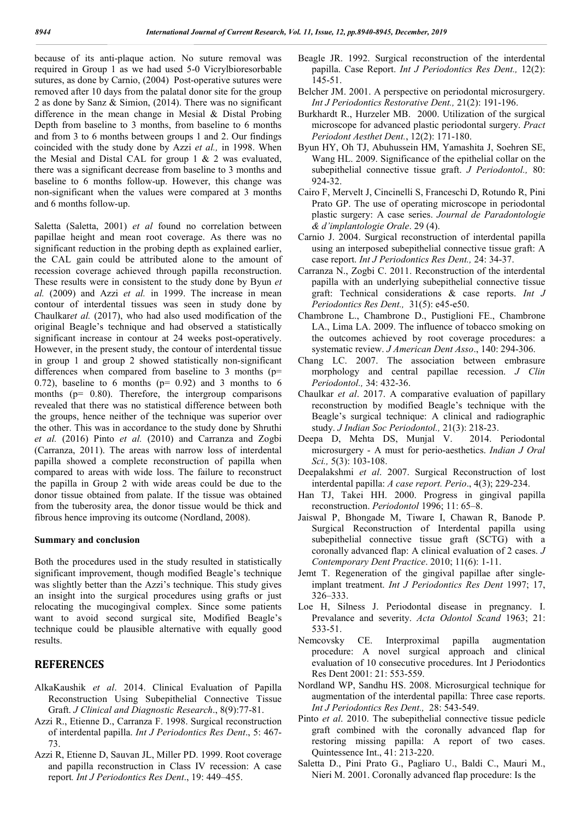because of its anti-plaque action. No suture removal was required in Group 1 as we had used 5-0 Vicrylbioresorbable sutures, as done by Carnio, (2004) Post-operative sutures were removed after 10 days from the palatal donor site for the group 2 as done by Sanz & Simion, (2014). There was no significant difference in the mean change in Mesial & Distal Probing Depth from baseline to 3 months, from baseline to 6 months and from 3 to 6 months between groups 1 and 2. Our findings coincided with the study done by Azzi *et al.,* in 1998. When the Mesial and Distal CAL for group 1 & 2 was evaluated, there was a significant decrease from baseline to 3 months and baseline to 6 months follow-up. However, this change was non-significant when the values were compared at 3 months and 6 months follow-up.

Saletta (Saletta, 2001) *et al* found no correlation between papillae height and mean root coverage. As there was no significant reduction in the probing depth as explained earlier, the CAL gain could be attributed alone to the amount of recession coverage achieved through papilla reconstruction. These results were in consistent to the study done by Byun *et al.* (2009) and Azzi *et al.* in 1999. The increase in mean contour of interdental tissues was seen in study done by Chaulkar*et al.* (2017), who had also used modification of the original Beagle's technique and had observed a statistically significant increase in contour at 24 weeks post-operatively. However, in the present study, the contour of interdental tissue in group 1 and group 2 showed statistically non-significant differences when compared from baseline to 3 months ( $p=$ 0.72), baseline to 6 months ( $p=$  0.92) and 3 months to 6 months (p= 0.80). Therefore, the intergroup comparisons revealed that there was no statistical difference between both the groups, hence neither of the technique was superior over the other. This was in accordance to the study done by Shruthi *et al.* (2016) Pinto *et al.* (2010) and Carranza and Zogbi (Carranza, 2011). The areas with narrow loss of interdental papilla showed a complete reconstruction of papilla when compared to areas with wide loss. The failure to reconstruct the papilla in Group 2 with wide areas could be due to the donor tissue obtained from palate. If the tissue was obtained from the tuberosity area, the donor tissue would be thick and fibrous hence improving its outcome (Nordland, 2008).

#### **Summary and conclusion**

Both the procedures used in the study resulted in statistically significant improvement, though modified Beagle's technique was slightly better than the Azzi's technique. This study gives an insight into the surgical procedures using grafts or just relocating the mucogingival complex. Since some patients want to avoid second surgical site, Modified Beagle's technique could be plausible alternative with equally good results.

## **REFERENCES**

- AlkaKaushik *et al*. 2014. Clinical Evaluation of Papilla Reconstruction Using Subepithelial Connective Tissue Graft. *J Clinical and Diagnostic Research*., 8(9):77-81.
- Azzi R., Etienne D., Carranza F. 1998. Surgical reconstruction of interdental papilla. *Int J Periodontics Res Dent*., 5: 467- 73.
- Azzi R, Etienne D, Sauvan JL, Miller PD. 1999. Root coverage and papilla reconstruction in Class IV recession: A case report*. Int J Periodontics Res Dent*., 19: 449–455.
- Beagle JR. 1992. Surgical reconstruction of the interdental papilla. Case Report. *Int J Periodontics Res Dent.,* 12(2): 145-51.
- Belcher JM. 2001. A perspective on periodontal microsurgery. *Int J Periodontics Restorative Dent.,* 21(2): 191-196.
- Burkhardt R., Hurzeler MB. 2000. Utilization of the surgical microscope for advanced plastic periodontal surgery. *Pract Periodont Aesthet Dent.*, 12(2): 171-180.
- Byun HY, Oh TJ, Abuhussein HM, Yamashita J, Soehren SE, Wang HL. 2009. Significance of the epithelial collar on the subepithelial connective tissue graft. *J Periodontol.,* 80: 924-32.
- Cairo F, Mervelt J, Cincinelli S, Franceschi D, Rotundo R, Pini Prato GP. The use of operating microscope in periodontal plastic surgery: A case series. *Journal de Paradontologie & d'implantologie Orale*. 29 (4).
- Carnio J. 2004. Surgical reconstruction of interdental papilla using an interposed subepithelial connective tissue graft: A case report. *Int J Periodontics Res Dent.,* 24: 34-37.
- Carranza N., Zogbi C. 2011. Reconstruction of the interdental papilla with an underlying subepithelial connective tissue graft: Technical considerations & case reports. *Int J Periodontics Res Dent.,* 31(5): e45-e50.
- Chambrone L., Chambrone D., Pustiglioni FE., Chambrone LA., Lima LA. 2009. The influence of tobacco smoking on the outcomes achieved by root coverage procedures: a systematic review. *J American Dent Asso*., 140: 294-306.
- Chang LC. 2007. The association between embrasure morphology and central papillae recession. *J Clin Periodontol.,* 34: 432-36.
- Chaulkar *et al*. 2017. A comparative evaluation of papillary reconstruction by modified Beagle's technique with the Beagle's surgical technique: A clinical and radiographic study. *J Indian Soc Periodontol.,* 21(3): 218-23.
- Deepa D, Mehta DS, Munjal V. 2014. Periodontal microsurgery - A must for perio-aesthetics. *Indian J Oral Sci.,* 5(3): 103-108.
- Deepalakshmi *et al*. 2007. Surgical Reconstruction of lost interdental papilla: *A case report. Perio*., 4(3); 229-234.
- Han TJ, Takei HH. 2000. Progress in gingival papilla reconstruction. *Periodontol* 1996; 11: 65–8.
- Jaiswal P, Bhongade M, Tiware I, Chawan R, Banode P. Surgical Reconstruction of Interdental papilla using subepithelial connective tissue graft (SCTG) with a coronally advanced flap: A clinical evaluation of 2 cases. *J Contemporary Dent Practice*. 2010; 11(6): 1-11.
- Jemt T. Regeneration of the gingival papillae after singleimplant treatment. *Int J Periodontics Res Dent* 1997; 17, 326–333.
- Loe H, Silness J. Periodontal disease in pregnancy. I. Prevalance and severity. *Acta Odontol Scand* 1963; 21: 533-51.
- Nemcovsky CE. Interproximal papilla augmentation procedure: A novel surgical approach and clinical evaluation of 10 consecutive procedures. Int J Periodontics Res Dent 2001: 21: 553-559.
- Nordland WP, Sandhu HS. 2008. Microsurgical technique for augmentation of the interdental papilla: Three case reports. *Int J Periodontics Res Dent.,* 28: 543-549.
- Pinto *et al*. 2010. The subepithelial connective tissue pedicle graft combined with the coronally advanced flap for restoring missing papilla: A report of two cases. Quintessence Int., 41: 213-220.
- Saletta D., Pini Prato G., Pagliaro U., Baldi C., Mauri M., Nieri M. 2001. Coronally advanced flap procedure: Is the